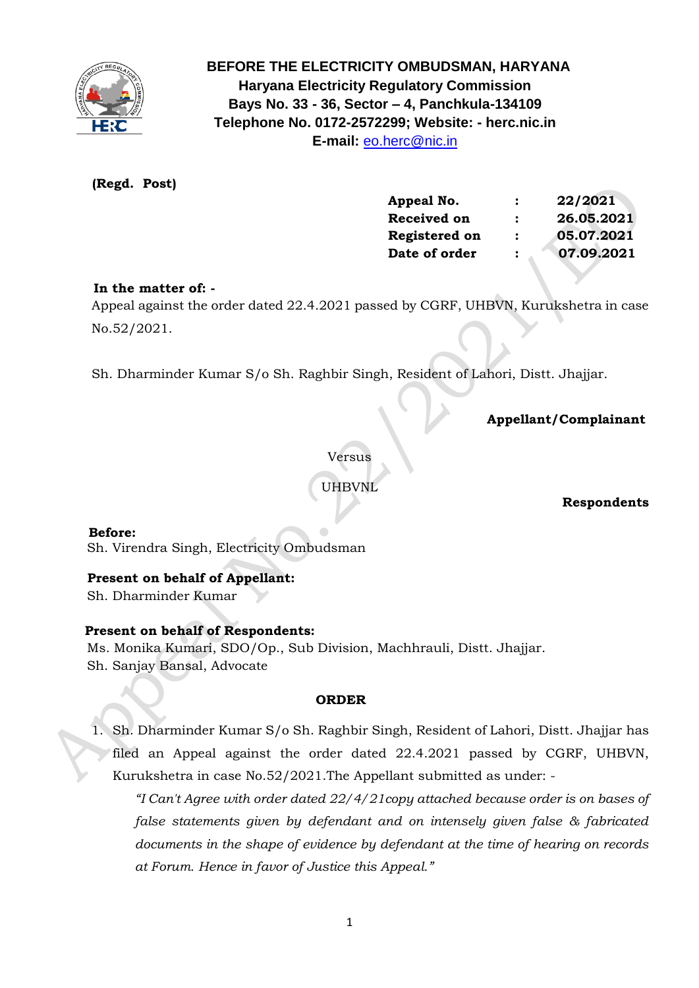

# **BEFORE THE ELECTRICITY OMBUDSMAN, HARYANA Haryana Electricity Regulatory Commission Bays No. 33 - 36, Sector – 4, Panchkula-134109 Telephone No. 0172-2572299; Website: - herc.nic.in E-mail:** [eo.herc@nic.in](mailto:eo.herc@nic.in)

# **(Regd. Post)**

| Appeal No.    |   | 22/2021    |
|---------------|---|------------|
| Received on   | : | 26.05.2021 |
| Registered on | : | 05.07.2021 |
| Date of order |   | 07.09.2021 |

# **In the matter of: -**

 Appeal against the order dated 22.4.2021 passed by CGRF, UHBVN, Kurukshetra in case No.52/2021.

Sh. Dharminder Kumar S/o Sh. Raghbir Singh, Resident of Lahori, Distt. Jhajjar.

 **Appellant/Complainant** 

Versus

UHBVNL

# **Respondents**

 **Before:**  Sh. Virendra Singh, Electricity Ombudsman

# **Present on behalf of Appellant:**

Sh. Dharminder Kumar

# **Present on behalf of Respondents:**

 Ms. Monika Kumari, SDO/Op., Sub Division, Machhrauli, Distt. Jhajjar. Sh. Sanjay Bansal, Advocate

### **ORDER**

1. Sh. Dharminder Kumar S/o Sh. Raghbir Singh, Resident of Lahori, Distt. Jhajjar has filed an Appeal against the order dated 22.4.2021 passed by CGRF, UHBVN, Kurukshetra in case No.52/2021.The Appellant submitted as under: -

*"I Can't Agree with order dated 22/4/21copy attached because order is on bases of false statements given by defendant and on intensely given false & fabricated documents in the shape of evidence by defendant at the time of hearing on records at Forum. Hence in favor of Justice this Appeal."*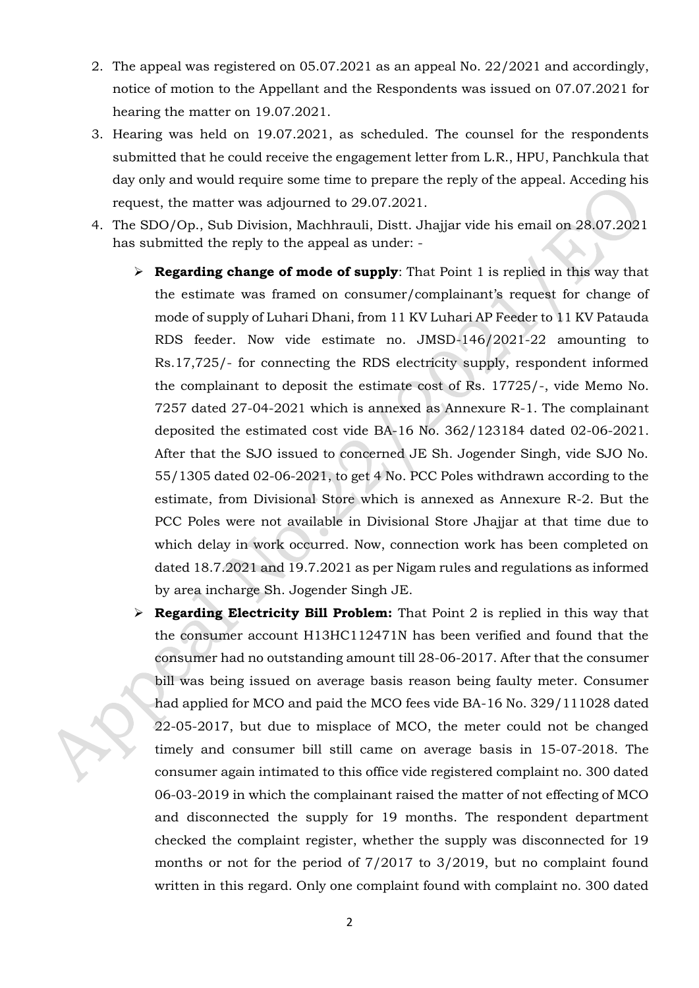- 2. The appeal was registered on 05.07.2021 as an appeal No. 22/2021 and accordingly, notice of motion to the Appellant and the Respondents was issued on 07.07.2021 for hearing the matter on 19.07.2021.
- 3. Hearing was held on 19.07.2021, as scheduled. The counsel for the respondents submitted that he could receive the engagement letter from L.R., HPU, Panchkula that day only and would require some time to prepare the reply of the appeal. Acceding his request, the matter was adjourned to 29.07.2021.
- 4. The SDO/Op., Sub Division, Machhrauli, Distt. Jhajjar vide his email on 28.07.2021 has submitted the reply to the appeal as under: -
	- ➢ **Regarding change of mode of supply**: That Point 1 is replied in this way that the estimate was framed on consumer/complainant's request for change of mode of supply of Luhari Dhani, from 11 KV Luhari AP Feeder to 11 KV Patauda RDS feeder. Now vide estimate no. JMSD-146/2021-22 amounting to Rs.17,725/- for connecting the RDS electricity supply, respondent informed the complainant to deposit the estimate cost of Rs. 17725/-, vide Memo No. 7257 dated 27-04-2021 which is annexed as Annexure R-1. The complainant deposited the estimated cost vide BA-16 No. 362/123184 dated 02-06-2021. After that the SJO issued to concerned JE Sh. Jogender Singh, vide SJO No. 55/1305 dated 02-06-2021, to get 4 No. PCC Poles withdrawn according to the estimate, from Divisional Store which is annexed as Annexure R-2. But the PCC Poles were not available in Divisional Store Jhajjar at that time due to which delay in work occurred. Now, connection work has been completed on dated 18.7.2021 and 19.7.2021 as per Nigam rules and regulations as informed by area incharge Sh. Jogender Singh JE.
	- ➢ **Regarding Electricity Bill Problem:** That Point 2 is replied in this way that the consumer account H13HC112471N has been verified and found that the consumer had no outstanding amount till 28-06-2017. After that the consumer bill was being issued on average basis reason being faulty meter. Consumer had applied for MCO and paid the MCO fees vide BA-16 No. 329/111028 dated 22-05-2017, but due to misplace of MCO, the meter could not be changed timely and consumer bill still came on average basis in 15-07-2018. The consumer again intimated to this office vide registered complaint no. 300 dated 06-03-2019 in which the complainant raised the matter of not effecting of MCO and disconnected the supply for 19 months. The respondent department checked the complaint register, whether the supply was disconnected for 19 months or not for the period of 7/2017 to 3/2019, but no complaint found written in this regard. Only one complaint found with complaint no. 300 dated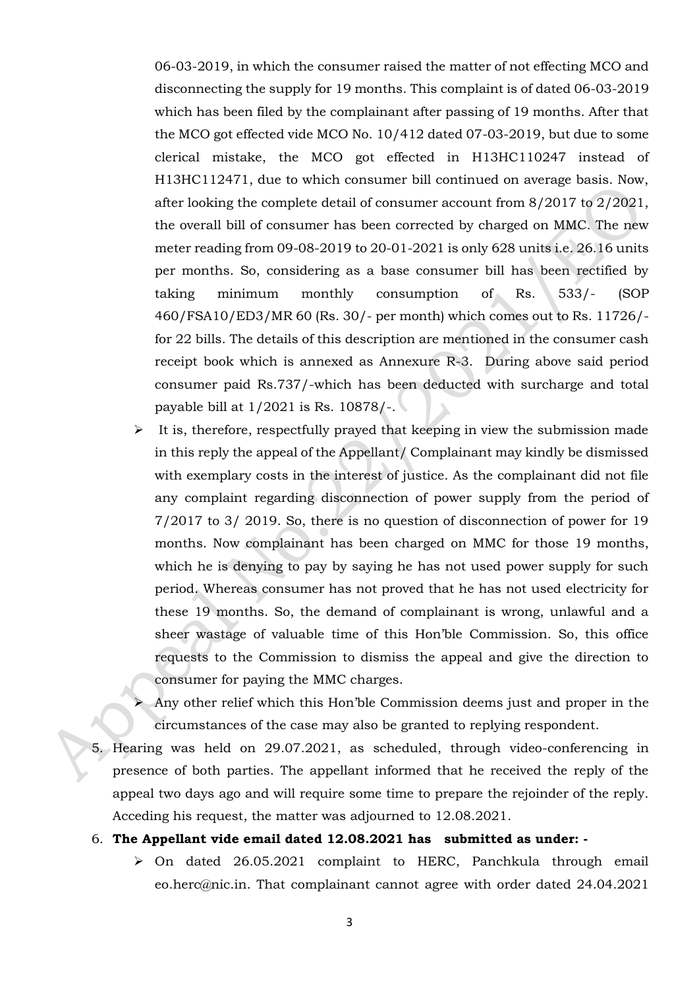06-03-2019, in which the consumer raised the matter of not effecting MCO and disconnecting the supply for 19 months. This complaint is of dated 06-03-2019 which has been filed by the complainant after passing of 19 months. After that the MCO got effected vide MCO No. 10/412 dated 07-03-2019, but due to some clerical mistake, the MCO got effected in H13HC110247 instead of H13HC112471, due to which consumer bill continued on average basis. Now, after looking the complete detail of consumer account from 8/2017 to 2/2021, the overall bill of consumer has been corrected by charged on MMC. The new meter reading from 09-08-2019 to 20-01-2021 is only 628 units i.e. 26.16 units per months. So, considering as a base consumer bill has been rectified by taking minimum monthly consumption of Rs. 533/- (SOP 460/FSA10/ED3/MR 60 (Rs. 30/- per month) which comes out to Rs. 11726/ for 22 bills. The details of this description are mentioned in the consumer cash receipt book which is annexed as Annexure R-3. During above said period consumer paid Rs.737/-which has been deducted with surcharge and total payable bill at 1/2021 is Rs. 10878/-.

- $\triangleright$  It is, therefore, respectfully prayed that keeping in view the submission made in this reply the appeal of the Appellant/ Complainant may kindly be dismissed with exemplary costs in the interest of justice. As the complainant did not file any complaint regarding disconnection of power supply from the period of 7/2017 to 3/ 2019. So, there is no question of disconnection of power for 19 months. Now complainant has been charged on MMC for those 19 months, which he is denying to pay by saying he has not used power supply for such period. Whereas consumer has not proved that he has not used electricity for these 19 months. So, the demand of complainant is wrong, unlawful and a sheer wastage of valuable time of this Hon'ble Commission. So, this office requests to the Commission to dismiss the appeal and give the direction to consumer for paying the MMC charges.
- ➢ Any other relief which this Hon'ble Commission deems just and proper in the circumstances of the case may also be granted to replying respondent.
- 5. Hearing was held on 29.07.2021, as scheduled, through video-conferencing in presence of both parties. The appellant informed that he received the reply of the appeal two days ago and will require some time to prepare the rejoinder of the reply. Acceding his request, the matter was adjourned to 12.08.2021.

#### 6. **The Appellant vide email dated 12.08.2021 has submitted as under: -**

➢ On dated 26.05.2021 complaint to HERC, Panchkula through email eo.herc@nic.in. That complainant cannot agree with order dated 24.04.2021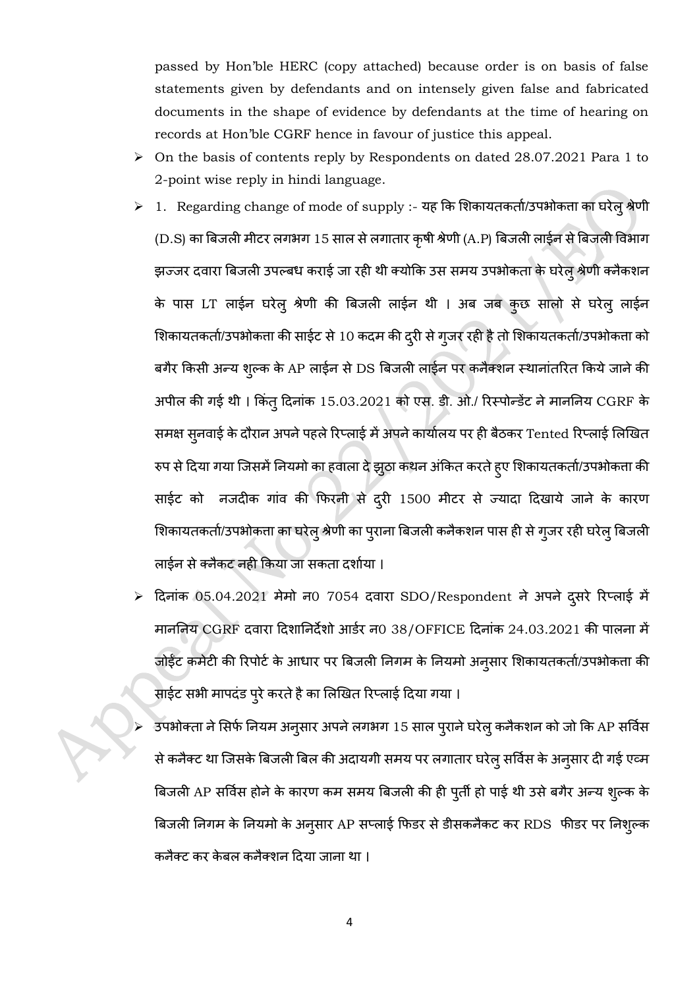passed by Hon'ble HERC (copy attached) because order is on basis of false statements given by defendants and on intensely given false and fabricated documents in the shape of evidence by defendants at the time of hearing on records at Hon'ble CGRF hence in favour of justice this appeal.

- ➢ On the basis of contents reply by Respondents on dated 28.07.2021 Para 1 to 2-point wise reply in hindi language.
- $\triangleright$  1. Regarding change of mode of supply :- यह कि शिकायतकर्ता/उपभोकता का घरेलु श्रेणी (D.S) का बिजली मीटर लगभग 15 साल से लगातार कृषी श्रेणी (A.P) बिजली लाईन से बिजली विभाग झज्जर दवारा बिजली उपल्बध कराई जा रही थी क्योकि उस समय उपभोकता के घरेलु श्रेणी क्नैकशन के पास LT लाईन घरेलु श्रेणी की बिजली लाईन थी । अब जब कुछ सालो से घरेलु लाईन शिकायतकर्ता/उपभोकत्ता की साईट से 10 कदम की दूरी से गुजर रही है तो शिकायतकर्ता/उपभोकता को बगैर किसी अन्य श्ल्क के AP लाईन से DS बिजली लाईन पर कनैक्शन स्थानांतरित किये जाने की अपील की गई थी। किंतु दिनांक 15.03.2021 को एस. डी. ओ./ रिस्पोन्डेंट ने माननिय CGRF के समक्ष सुनवाई के दौरान अपने पहले रिप्लाई में अपने कार्यालय पर ही बैठकर Tented रिप्लाई लिखित रुप से दिया गया जिसमें नियमो का हवाला दे झुठा कथन अंकित करते ह्ए शिकायतकर्ता/उपभोकता की साईट को नजदीक गांव की फिरनी से दूरी 1500 मीटर से ज्यादा दिखाये जाने के कारण शिकायतकर्ता/उपभोकत्ता का घरेलु श्रेणी का प्**राना बिजली कनैकशन पास ही से ग्**जर रही घरेलु बिजली लाईन से क्लैकट नही किया जा सकता दर्शाया ।
- दिनांक 05.04.2021 मेमो न0 7054 दवारा SDO/Respondent ने अपने दूसरे रिप्लाई में माननिय CGRF दवारा दिशानिर्देशो आर्डर न0 38/OFFICE दिनांक 24.03.2021 की पालना में जोईंट कमेटी की रिपोर्ट के आधार पर बिजली निगम के नियमो अनुसार शिकायतकर्ता/उपभोकता की साईट सभी मापदंड पूरे करते है का लिखित रिप्लाई दिया गया ।
- उपभोक्ता ने सिर्फ नियम अनुसार अपने लगभग 15 साल पुराने घरेलु कनैकशन को जो कि AP सर्विस से कनैक्ट था जिसके बिजली बिल की अदायगी समय पर लगातार घरेलु सर्विस के अनुसार दी गई एव्म बिजली AP सर्विस होने के कारण कम समय बिजली की ही पुर्ती हो पाई थी उसे बगैर अन्य शुल्क के बिजली निगम के नियमो के अनुसार AP सप्लाई फिडर से डीसकनैकट कर RDS फीडर पर निशुल्क कनैक्ट कर केबल कनैक्शन दिया जाना था ।

4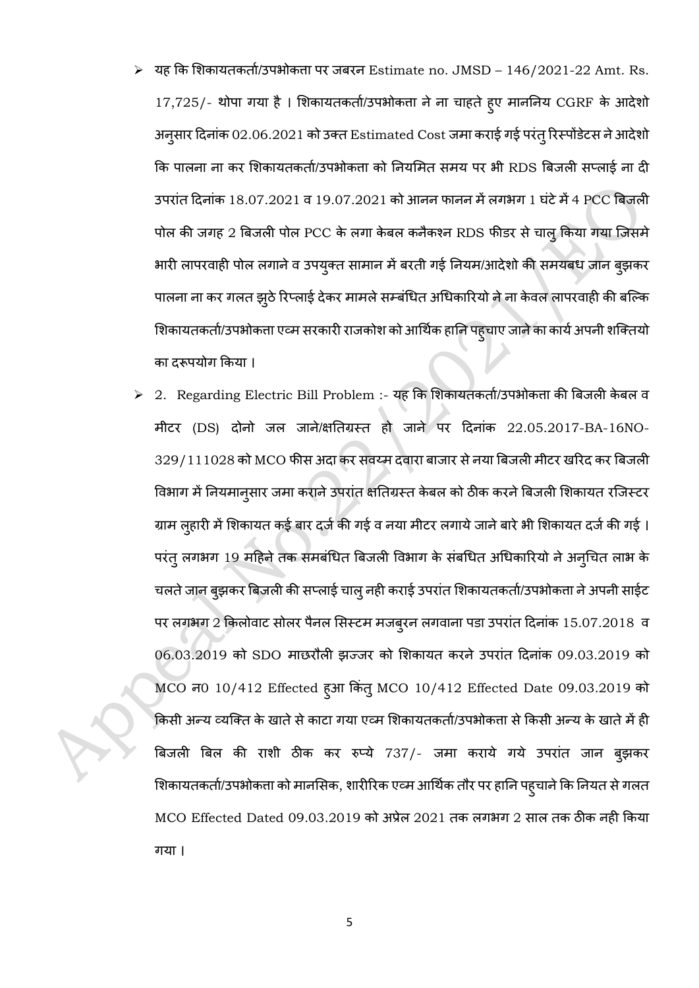- यह कि शिकायतकर्ता/उपभोकता पर जबरन  $\,$  Estimate no.  $\,$  JMSD  $\,146/2021$ - $22$  Amt.  $\,$  Rs. 17,725/- थोपा गया है। शिकायतकर्ता/उपभोकता ने ना चाहते हुए माननिय CGRF के आदेशो अनुसार दिनांक 02.06.2021 को उक्त Estimated Cost जमा कराई गई परंतु रिस्पोंडेटस ने आदेशो कि पालना ना कर शिकायतकर्ता/उपभोकता को नियमित समय पर भी RDS बिजली सप्लाई ना दी उपरांत दिनांक 18.07.2021 व 19.07.2021 को आनन फानन में लगभग 1 घंटे में 4 PCC बिजली पोल की जगह 2 बिजली पोल PCC के लगा केबल कनैकश्न RDS फीडर से चालु किया गया जिसमे भारी लापरवाही पोल लगाने व उपयुक्त सामान में बरती गई नियम/आदेशो की समयबध जान बुझकर पालना ना कर गलत झुठे रिप्लाई देकर मामले सम्बंधित अधिकारियो ने ना केवल लापरवाही की बल्कि शिकायतकर्ता/उपभोकत्ता एव्म सरकारी राजकोश को आर्थिक हानि पहुचाए जाने का कार्य अपनी शक्तियो का दरूपयोग किया ।
- $>$  2. Regarding Electric Bill Problem :- यह कि शिकायतकर्ता/उपभोकता की बिजली केबल व मीटर (DS) दोनो जल जाने/क्षतिग्रस्त हो जाने पर दिनांक 22.05.2017-BA-16NO-329/111028 को MCO फीस अदा कर सवय्म दवारा बाजार से नया बिजली मीटर खरिद कर बिजली विभाग में नियमान्सार जमा कराने उपरांत क्षतिग्रस्त केबल को ठीक करने बिजली शिकायत रजिस्टर ग्राम लुहारी में शिकायत कई बार दर्ज की गई व नया मीटर लगाये जाने बारे भी शिकायत दर्ज की गई । परंतु लगभग 19 महिने तक समबंधित बिजली विभाग के संबधित अधिकारियो ने अन्चित लाभ के चलते जान ब्झकर बिजली की सप्लाई चालु नही कराई उपरांत शिकायतकर्ता/उपभोकता ने अपनी साईट पर लगभग 2 किलोवाट सोलर पैनल सिस्टम मजब्रन लगवाना पडा उपरांत दिनांक 15.07.2018 व 06.03.2019 को SDO माछरौली झज्जर को शिकायत करने उपरांत दिनांक 09.03.2019 को MCO न0 10/412 Effected हुआ किंत् MCO 10/412 Effected Date 09.03.2019 को किसी अन्य व्यक्ति के खाते से काटा गया एव्म शिकायतकर्ता/उपभोकता से किसी अन्य के खाते में ही बिजली बिल की राशी ठीक कर रुप्ये 737/- जमा कराये गये उपरांत जान ब्झकर शिकायतकर्ता/उपभोकत्ता को मानसिक, शारीरिक एव्म आर्थिक तौर पर हानि पह्चाने कि नियत से गलत MCO Effected Dated 09.03.2019 को अप्रेल 2021 तक लगभग 2 साल तक ठीक नही किया गया ।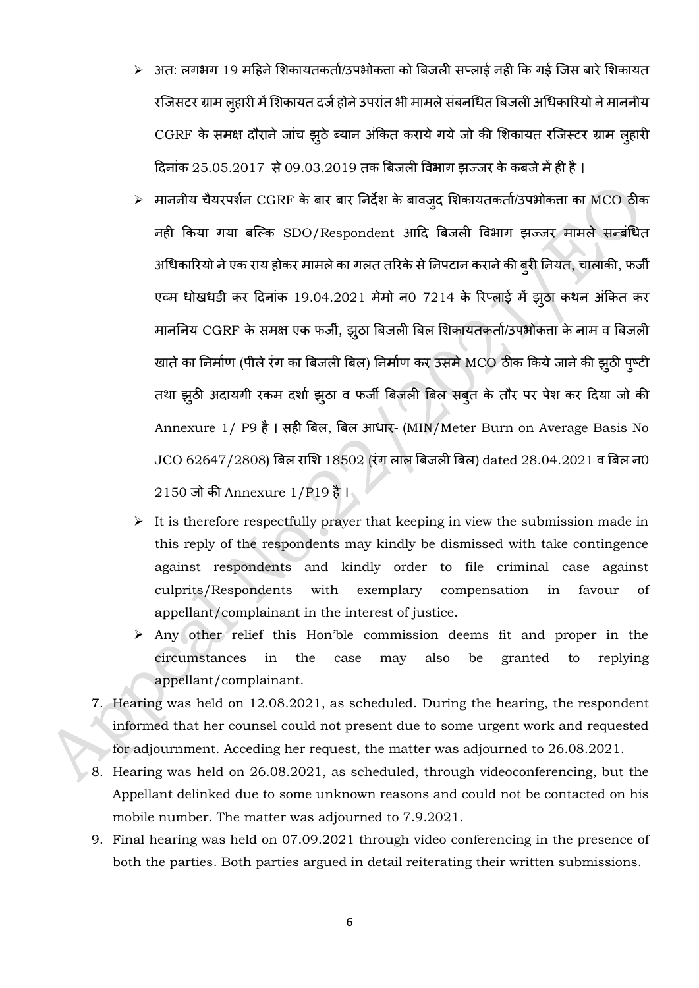- $>$  अत: लगभग 19 महिने शिकायतकर्ता/उपभोकता को बिजली सप्लाई नही कि गई जिस बारे शिकायत रजिसटर ग्राम लुहारी में शिकायत दर्ज होने उपरांत भी मामले संबनधित बिजली अधिकारियो ने माननीय CGRF के समक्ष दौराने जांच झूठे ब्यान अंकित कराये गये जो की शिकायत रजिस्टर ग्राम लुहारी दिनांक 25.05.2017 से 09.03.2019 तक बिजली विभाग झज्जर के कबजे में ही है ।
- माननीय चैयरपर्शन  ${\rm CGRF}$  के बार बार निर्देश के बावज् ${\mathfrak a}$  शिकायतकर्ता/उपभोकता का  ${\rm MCO}$  ठीक नही किया गया बल्कि SDO/Respondent आदि बिजली विभाग झज्जर मामले सन्बंधित अधिकारियो ने एक राय होकर मामले का गलत तरिके से निपटान कराने की ब्री नियत, चालाकी, फर्जी एटम धोखधडी कर दिनांक 19.04.2021 मेमो न0 7214 के रिप्लाई में झूठा कथन अंकित कर माननिय CGRF के समक्ष एक फर्जी, झुठा बिजली बिल शिकायतकर्ता/उपभोकता के नाम व बिजली खाते का निर्माण (पीले रंग का बिजली बिल) निर्माण कर उसमे MCO ठीक किये जाने की झुठी प्ष्टी तथा झुठी अदायगी रकम दर्शा झुठा व फर्जी बिजली बिल सबुत के तौर पर पेश कर दिया जो की Annexure 1/ P9 है। सही बिल, बिल आधार- (MIN/Meter Burn on Average Basis No  $JCO$  62647/2808) बिल राशि 18502 (रंग लाल बिजली बिल) dated 28.04.2021 व बिल न0 2150 जो िी Annexure 1/P19 है।
- $\triangleright$  It is therefore respectfully prayer that keeping in view the submission made in this reply of the respondents may kindly be dismissed with take contingence against respondents and kindly order to file criminal case against culprits/Respondents with exemplary compensation in favour of appellant/complainant in the interest of justice.
- ➢ Any other relief this Hon'ble commission deems fit and proper in the circumstances in the case may also be granted to replying appellant/complainant.
- 7. Hearing was held on 12.08.2021, as scheduled. During the hearing, the respondent informed that her counsel could not present due to some urgent work and requested for adjournment. Acceding her request, the matter was adjourned to 26.08.2021.
- 8. Hearing was held on 26.08.2021, as scheduled, through videoconferencing, but the Appellant delinked due to some unknown reasons and could not be contacted on his mobile number. The matter was adjourned to 7.9.2021.
- 9. Final hearing was held on 07.09.2021 through video conferencing in the presence of both the parties. Both parties argued in detail reiterating their written submissions.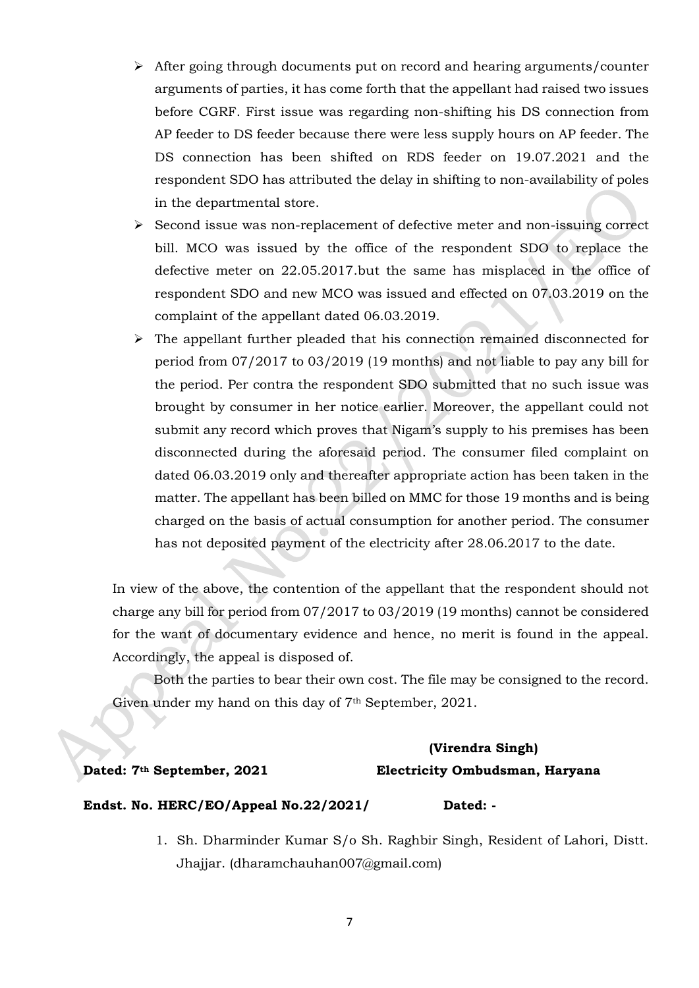- ➢ After going through documents put on record and hearing arguments/counter arguments of parties, it has come forth that the appellant had raised two issues before CGRF. First issue was regarding non-shifting his DS connection from AP feeder to DS feeder because there were less supply hours on AP feeder. The DS connection has been shifted on RDS feeder on 19.07.2021 and the respondent SDO has attributed the delay in shifting to non-availability of poles in the departmental store.
- ➢ Second issue was non-replacement of defective meter and non-issuing correct bill. MCO was issued by the office of the respondent SDO to replace the defective meter on 22.05.2017.but the same has misplaced in the office of respondent SDO and new MCO was issued and effected on 07.03.2019 on the complaint of the appellant dated 06.03.2019.
- ➢ The appellant further pleaded that his connection remained disconnected for period from 07/2017 to 03/2019 (19 months) and not liable to pay any bill for the period. Per contra the respondent SDO submitted that no such issue was brought by consumer in her notice earlier. Moreover, the appellant could not submit any record which proves that Nigam's supply to his premises has been disconnected during the aforesaid period. The consumer filed complaint on dated 06.03.2019 only and thereafter appropriate action has been taken in the matter. The appellant has been billed on MMC for those 19 months and is being charged on the basis of actual consumption for another period. The consumer has not deposited payment of the electricity after 28.06.2017 to the date.

In view of the above, the contention of the appellant that the respondent should not charge any bill for period from 07/2017 to 03/2019 (19 months) cannot be considered for the want of documentary evidence and hence, no merit is found in the appeal. Accordingly, the appeal is disposed of.

 Both the parties to bear their own cost. The file may be consigned to the record. Given under my hand on this day of 7<sup>th</sup> September, 2021.

# **(Virendra Singh) Dated: 7th September, 2021 Electricity Ombudsman, Haryana**

### **Endst. No. HERC/EO/Appeal No.22/2021/ Dated: -**

1. Sh. Dharminder Kumar S/o Sh. Raghbir Singh, Resident of Lahori, Distt. Jhajjar. (dharamchauhan007@gmail.com)